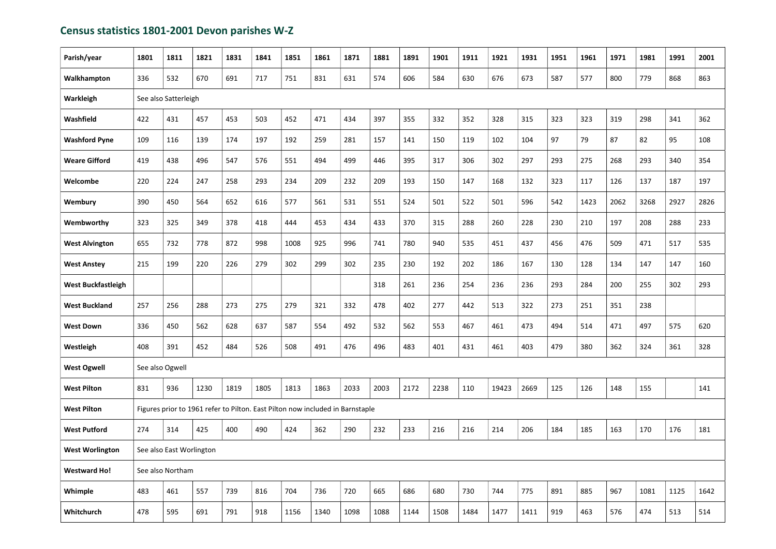## Census statistics 1801-2001 Devon parishes W-Z

| Parish/year               | 1801 | 1811                                                                          | 1821 | 1831 | 1841 | 1851 | 1861 | 1871 | 1881 | 1891 | 1901 | 1911 | 1921  | 1931 | 1951 | 1961 | 1971 | 1981 | 1991 | 2001 |
|---------------------------|------|-------------------------------------------------------------------------------|------|------|------|------|------|------|------|------|------|------|-------|------|------|------|------|------|------|------|
| Walkhampton               | 336  | 532                                                                           | 670  | 691  | 717  | 751  | 831  | 631  | 574  | 606  | 584  | 630  | 676   | 673  | 587  | 577  | 800  | 779  | 868  | 863  |
| Warkleigh                 |      | See also Satterleigh                                                          |      |      |      |      |      |      |      |      |      |      |       |      |      |      |      |      |      |      |
| Washfield                 | 422  | 431                                                                           | 457  | 453  | 503  | 452  | 471  | 434  | 397  | 355  | 332  | 352  | 328   | 315  | 323  | 323  | 319  | 298  | 341  | 362  |
| <b>Washford Pyne</b>      | 109  | 116                                                                           | 139  | 174  | 197  | 192  | 259  | 281  | 157  | 141  | 150  | 119  | 102   | 104  | 97   | 79   | 87   | 82   | 95   | 108  |
| <b>Weare Gifford</b>      | 419  | 438                                                                           | 496  | 547  | 576  | 551  | 494  | 499  | 446  | 395  | 317  | 306  | 302   | 297  | 293  | 275  | 268  | 293  | 340  | 354  |
| Welcombe                  | 220  | 224                                                                           | 247  | 258  | 293  | 234  | 209  | 232  | 209  | 193  | 150  | 147  | 168   | 132  | 323  | 117  | 126  | 137  | 187  | 197  |
| Wembury                   | 390  | 450                                                                           | 564  | 652  | 616  | 577  | 561  | 531  | 551  | 524  | 501  | 522  | 501   | 596  | 542  | 1423 | 2062 | 3268 | 2927 | 2826 |
| Wembworthy                | 323  | 325                                                                           | 349  | 378  | 418  | 444  | 453  | 434  | 433  | 370  | 315  | 288  | 260   | 228  | 230  | 210  | 197  | 208  | 288  | 233  |
| <b>West Alvington</b>     | 655  | 732                                                                           | 778  | 872  | 998  | 1008 | 925  | 996  | 741  | 780  | 940  | 535  | 451   | 437  | 456  | 476  | 509  | 471  | 517  | 535  |
| <b>West Anstey</b>        | 215  | 199                                                                           | 220  | 226  | 279  | 302  | 299  | 302  | 235  | 230  | 192  | 202  | 186   | 167  | 130  | 128  | 134  | 147  | 147  | 160  |
| <b>West Buckfastleigh</b> |      |                                                                               |      |      |      |      |      |      | 318  | 261  | 236  | 254  | 236   | 236  | 293  | 284  | 200  | 255  | 302  | 293  |
| <b>West Buckland</b>      | 257  | 256                                                                           | 288  | 273  | 275  | 279  | 321  | 332  | 478  | 402  | 277  | 442  | 513   | 322  | 273  | 251  | 351  | 238  |      |      |
| <b>West Down</b>          | 336  | 450                                                                           | 562  | 628  | 637  | 587  | 554  | 492  | 532  | 562  | 553  | 467  | 461   | 473  | 494  | 514  | 471  | 497  | 575  | 620  |
| Westleigh                 | 408  | 391                                                                           | 452  | 484  | 526  | 508  | 491  | 476  | 496  | 483  | 401  | 431  | 461   | 403  | 479  | 380  | 362  | 324  | 361  | 328  |
| <b>West Ogwell</b>        |      | See also Ogwell                                                               |      |      |      |      |      |      |      |      |      |      |       |      |      |      |      |      |      |      |
| <b>West Pilton</b>        | 831  | 936                                                                           | 1230 | 1819 | 1805 | 1813 | 1863 | 2033 | 2003 | 2172 | 2238 | 110  | 19423 | 2669 | 125  | 126  | 148  | 155  |      | 141  |
| <b>West Pilton</b>        |      | Figures prior to 1961 refer to Pilton. East Pilton now included in Barnstaple |      |      |      |      |      |      |      |      |      |      |       |      |      |      |      |      |      |      |
| <b>West Putford</b>       | 274  | 314                                                                           | 425  | 400  | 490  | 424  | 362  | 290  | 232  | 233  | 216  | 216  | 214   | 206  | 184  | 185  | 163  | 170  | 176  | 181  |
| <b>West Worlington</b>    |      | See also East Worlington                                                      |      |      |      |      |      |      |      |      |      |      |       |      |      |      |      |      |      |      |
| <b>Westward Ho!</b>       |      | See also Northam                                                              |      |      |      |      |      |      |      |      |      |      |       |      |      |      |      |      |      |      |
| Whimple                   | 483  | 461                                                                           | 557  | 739  | 816  | 704  | 736  | 720  | 665  | 686  | 680  | 730  | 744   | 775  | 891  | 885  | 967  | 1081 | 1125 | 1642 |
| Whitchurch                | 478  | 595                                                                           | 691  | 791  | 918  | 1156 | 1340 | 1098 | 1088 | 1144 | 1508 | 1484 | 1477  | 1411 | 919  | 463  | 576  | 474  | 513  | 514  |
|                           |      |                                                                               |      |      |      |      |      |      |      |      |      |      |       |      |      |      |      |      |      |      |